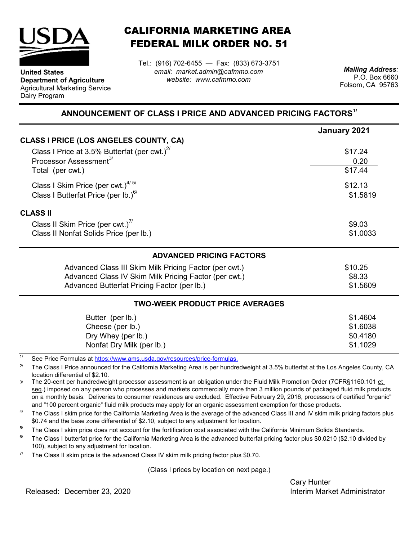

**Department of Agriculture** Agricultural Marketing Service

**United States**

Dairy Program

CALIFORNIA MARKETING AREA FEDERAL MILK ORDER NO. 51

*email: market.admin@cafmmo.com website: www.cafmmo.com* Tel.: (916) 702-6455 — Fax: (833) 673-3751 *Mailing Address:*

P.O. Box 6660 Folsom, CA 95763

## **ANNOUNCEMENT OF CLASS I PRICE AND ADVANCED PRICING FACTORS1/**

|                                                                               | January 2021 |
|-------------------------------------------------------------------------------|--------------|
| CLASS I PRICE (LOS ANGELES COUNTY, CA)                                        |              |
| Class I Price at 3.5% Butterfat (per cwt.) $^{27}$                            | \$17.24      |
| Processor Assessment <sup>3/</sup>                                            | 0.20         |
| Total (per cwt.)                                                              | \$17.44      |
| Class I Skim Price (per cwt.) $4/5/$                                          | \$12.13      |
| Class I Butterfat Price (per lb.) $6/$                                        | \$1.5819     |
| <b>CLASS II</b>                                                               |              |
| Class II Skim Price (per cwt.) <sup>7/</sup>                                  | \$9.03       |
| Class II Nonfat Solids Price (per lb.)                                        | \$1.0033     |
|                                                                               |              |
| <b>ADVANCED PRICING FACTORS</b>                                               |              |
| Advanced Class III Skim Milk Pricing Factor (per cwt.)                        | \$10.25      |
| Advanced Class IV Skim Milk Pricing Factor (per cwt.)                         | \$8.33       |
| Advanced Butterfat Pricing Factor (per lb.)<br>\$1.5609                       |              |
| <b>TWO-WEEK PRODUCT PRICE AVERAGES</b>                                        |              |
| Butter (per lb.)                                                              | \$1.4604     |
| Cheese (per lb.)                                                              | \$1.6038     |
| Dry Whey (per lb.)                                                            | \$0.4180     |
| Nonfat Dry Milk (per lb.)                                                     | \$1.1029     |
| 11<br>See Price Fermulas at https://www.ams.usda.gov/resources/price fermulas |              |

See Price Formulas at <u>https://www.ams.usda.gov/r</u>

2/ The Class I Price announced for the California Marketing Area is per hundredweight at 3.5% butterfat at the Los Angeles County, CA location differential of \$2.10.

3/ The 20-cent per hundredweight processor assessment is an obligation under the Fluid Milk Promotion Order (7CFR§1160.101 et seq.) imposed on any person who processes and markets commercially more than 3 million pounds of packaged fluid milk products on a monthly basis. Deliveries to consumer residences are excluded. Effective February 29, 2016, processors of certified "organic" and "100 percent organic" fluid milk products may apply for an organic assessment exemption for those products.

4/ The Class I skim price for the California Marketing Area is the average of the advanced Class III and IV skim milk pricing factors plus \$0.74 and the base zone differential of \$2.10, subject to any adjustment for location.

5/ The Class I skim price does not account for the fortification cost associated with the California Minimum Solids Standards.

6/ The Class I butterfat price for the California Marketing Area is the advanced butterfat pricing factor plus \$0.0210 (\$2.10 divided by 100), subject to any adjustment for location.

7/ The Class II skim price is the advanced Class IV skim milk pricing factor plus \$0.70.

(Class I prices by location on next page.)

Cary Hunter

Released: Interim Market Administrator December 23, 2020